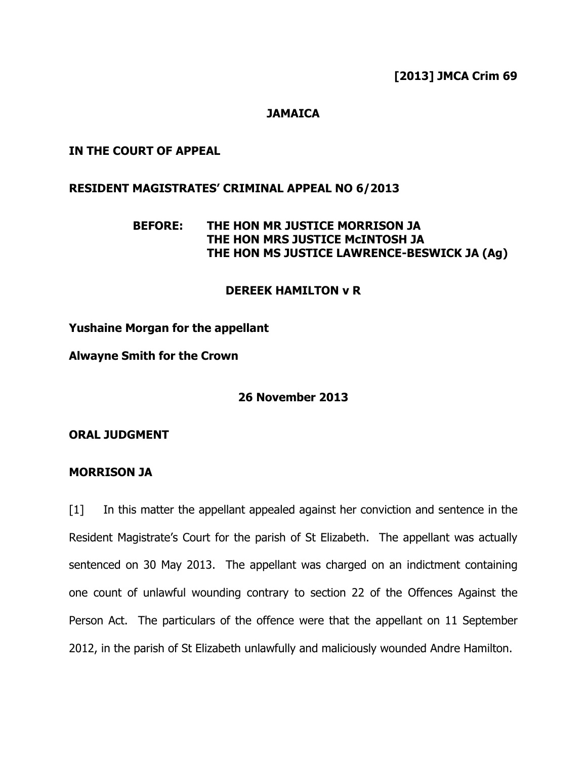[2013] JMCA Crim 69

## **JAMAICA**

### IN THE COURT OF APPEAL

### RESIDENT MAGISTRATES' CRIMINAL APPEAL NO 6/2013

# BEFORE: THE HON MR JUSTICE MORRISON JA THE HON MRS JUSTICE McINTOSH JA THE HON MS JUSTICE LAWRENCE-BESWICK JA (Ag)

## DEREEK HAMILTON v R

Yushaine Morgan for the appellant

Alwayne Smith for the Crown

26 November 2013

ORAL JUDGMENT

#### MORRISON JA

[1] In this matter the appellant appealed against her conviction and sentence in the Resident Magistrate's Court for the parish of St Elizabeth. The appellant was actually sentenced on 30 May 2013. The appellant was charged on an indictment containing one count of unlawful wounding contrary to section 22 of the Offences Against the Person Act. The particulars of the offence were that the appellant on 11 September 2012, in the parish of St Elizabeth unlawfully and maliciously wounded Andre Hamilton.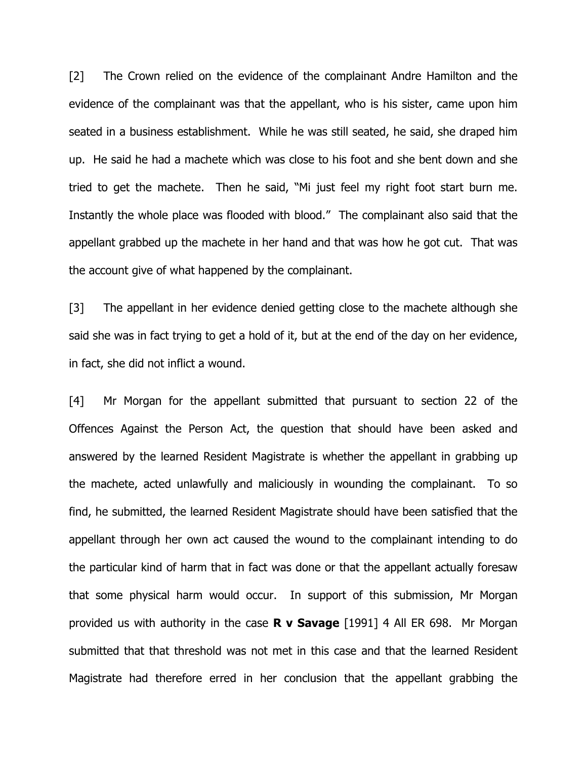[2] The Crown relied on the evidence of the complainant Andre Hamilton and the evidence of the complainant was that the appellant, who is his sister, came upon him seated in a business establishment. While he was still seated, he said, she draped him up. He said he had a machete which was close to his foot and she bent down and she tried to get the machete. Then he said, "Mi just feel my right foot start burn me. Instantly the whole place was flooded with blood." The complainant also said that the appellant grabbed up the machete in her hand and that was how he got cut. That was the account give of what happened by the complainant.

[3] The appellant in her evidence denied getting close to the machete although she said she was in fact trying to get a hold of it, but at the end of the day on her evidence, in fact, she did not inflict a wound.

[4] Mr Morgan for the appellant submitted that pursuant to section 22 of the Offences Against the Person Act, the question that should have been asked and answered by the learned Resident Magistrate is whether the appellant in grabbing up the machete, acted unlawfully and maliciously in wounding the complainant. To so find, he submitted, the learned Resident Magistrate should have been satisfied that the appellant through her own act caused the wound to the complainant intending to do the particular kind of harm that in fact was done or that the appellant actually foresaw that some physical harm would occur. In support of this submission, Mr Morgan provided us with authority in the case **R v Savage** [1991] 4 All ER 698. Mr Morgan submitted that that threshold was not met in this case and that the learned Resident Magistrate had therefore erred in her conclusion that the appellant grabbing the